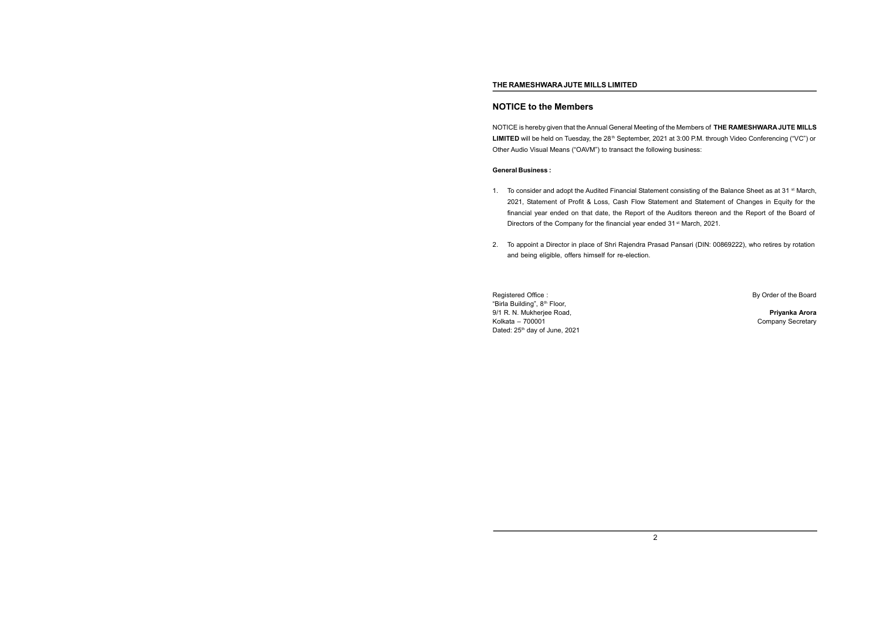## **NOTICE to the Members**

NOTICE is hereby given that theAnnual General Meeting of the Members of **THE RAMESHWARA JUTE MILLS** LIMITED will be held on Tuesday, the 28<sup>th</sup> September, 2021 at 3:00 P.M. through Video Conferencing ("VC") or Other Audio Visual Means ("OAVM") to transact the following business:

## **General Business :**

- 1. To consider and adopt the Audited Financial Statement consisting of the Balance Sheet as at 31  $\rm{st}$  March, 2021, Statement of Profit & Loss, Cash Flow Statement and Statement of Changes in Equity for the financial year ended on that date, the Report of the Auditors thereon and the Report of the Board of Directors of the Company for the financial year ended 31<sup>st</sup> March, 2021.
- 2. To appoint a Director in place of Shri Rajendra Prasad Pansari (DIN: 00869222), who retires by rotation and being eligible, offers himself for re-election.

Registered Office : **By Order of the Board** Registered Office : "Birla Building", 8th Floor, 9/1 R. N. Mukherjee Road, **Priyanka Arora** Kolkata – 700001 Company Secretary Dated: 25<sup>th</sup> day of June, 2021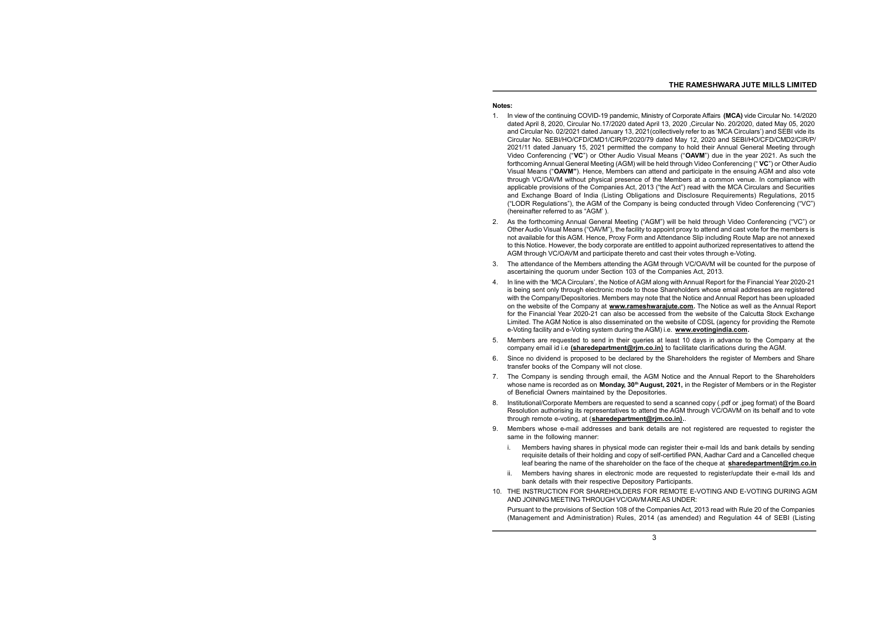## **Notes:**

- 1. In view of the continuing COVID-19 pandemic, Ministry of Corporate Affairs **(MCA)** vide Circular No. 14/2020 dated April 8, 2020, Circular No.17/2020 dated April 13, 2020 ,Circular No. 20/2020, dated May 05, 2020 and Circular No. 02/2021 dated January 13, 2021(collectively refer to as 'MCA Circulars') and SEBI vide its Circular No. SEBI/HO/CFD/CMD1/CIR/P/2020/79 dated May 12, 2020 and SEBI/HO/CFD/CMD2/CIR/P/ 2021/11 dated January 15, 2021 permitted the company to hold their Annual General Meeting through Video Conferencing ("**VC**") or Other Audio Visual Means ("**OAVM**") due in the year 2021. As such the forthcoming Annual General Meeting (AGM) will be held through Video Conferencing (" **VC**") or Other Audio Visual Means ("**OAVM"**). Hence, Members can attend and participate in the ensuing AGM and also vote through VC/OAVM without physical presence of the Members at a common venue. In compliance with applicable provisions of the Companies Act, 2013 ("the Act") read with the MCA Circulars and Securities and Exchange Board of India (Listing Obligations and Disclosure Requirements) Regulations, 2015 ("LODR Regulations"), the AGM of the Company is being conducted through Video Conferencing ("VC") (hereinafter referred to as "AGM' ).
- 2. As the forthcoming Annual General Meeting ("AGM") will be held through Video Conferencing ("VC") or Other Audio Visual Means ("OAVM"), the facility to appoint proxy to attend and cast vote for the members is not available for this AGM. Hence, Proxy Form and Attendance Slip including Route Map are not annexed to this Notice. However, the body corporate are entitled to appoint authorized representatives to attend the AGM through VC/OAVM and participate thereto and cast their votes through e-Voting.
- 3. The attendance of the Members attending the AGM through VC/OAVM will be counted for the purpose of ascertaining the quorum under Section 103 of the Companies Act, 2013.
- 4. In line with the 'MCA Circulars', the Notice of AGM along with Annual Report for the Financial Year 2020-21 is being sent only through electronic mode to those Shareholders whose email addresses are registered with the Company/Depositories. Members may note that the Notice and Annual Report has been uploaded on the website of the Company at **[www.rameshwarajute.com](http://www.rameshwarajute.com).** The Notice as well as the Annual Report for the Financial Year 2020-21 can also be accessed from the website of the Calcutta Stock Exchange Limited. The AGM Notice is also disseminated on the website of CDSL (agency for providing the Remote e-Voting facility and e-Voting system during the AGM) i.e. **[www.evotingindia.com](http://www.evotingindia.com).**
- 5. Members are requested to send in their queries at least 10 days in advance to the Company at the company email id i.e **[\(sharedepartment@rjm.co.in\)](mailto:(sharedepartment@rjm.co.in))** to facilitate clarifications during the AGM.
- 6. Since no dividend is proposed to be declared by the Shareholders the register of Members and Share transfer books of the Company will not close.
- 7. The Company is sending through email, the AGM Notice and the Annual Report to the Shareholders whose name is recorded as on **Monday, 30th August, 2021,** in the Register of Members or in the Register of Beneficial Owners maintained by the Depositories.
- 8. Institutional/Corporate Members are requested to send a scanned copy (.pdf or .jpeg format) of the Board Resolution authorising its representatives to attend the AGM through VC/OAVM on its behalf and to vote through remote e-voting, at (**[sharedepartment@rjm.co.in\)](mailto:sharedepartment@rjm.co.in)).**.
- 9. Members whose e-mail addresses and bank details are not registered are requested to register the same in the following manner:
	- i. Members having shares in physical mode can register their e-mail Ids and bank details by sending requisite details of their holding and copy of self-certified PAN, Aadhar Card and a Cancelled cheque leaf bearing the name of the shareholder on the face of the cheque at **[sharedepartment@rjm.co.in](mailto:sharedepartment@rjm.co.in)**
	- ii. Members having shares in electronic mode are requested to register/update their e-mail Ids and bank details with their respective Depository Participants.
- 10. THE INSTRUCTION FOR SHAREHOLDERS FOR REMOTE E-VOTING AND E-VOTING DURING AGM AND JOINING MEETING THROUGH VC/OAVMAREAS UNDER:

Pursuant to the provisions of Section 108 of the Companies Act, 2013 read with Rule 20 of the Companies (Management and Administration) Rules, 2014 (as amended) and Regulation 44 of SEBI (Listing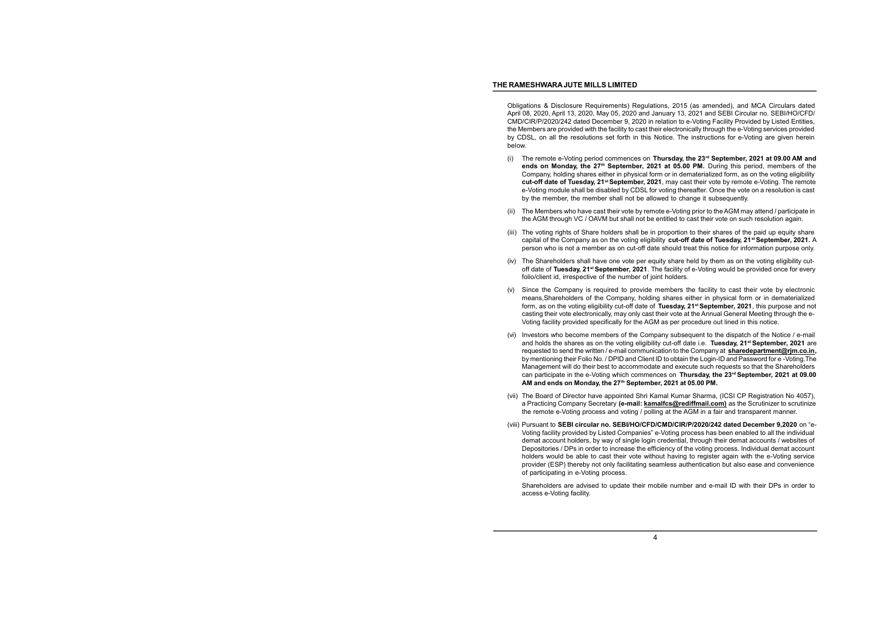Obligations & Disclosure Requirements) Regulations, 2015 (as amended), and MCA Circulars dated April 08, 2020, April 13, 2020, May 05, 2020 and January 13, 2021 and SEBI Circular no. SEBI/HO/CFD/ CMD/CIR/P/2020/242 dated December 9, 2020 in relation to e-Voting Facility Provided by Listed Entities, the Members are provided with the facility to cast their electronically through the e-Voting services provided by CDSL, on all the resolutions set forth in this Notice. The instructions for e-Voting are given herein below.

- (i) The remote e-Voting period commences on **Thursday, the 23rd September, 2021 at 09.00 AM and ends on Monday, the 27th September, 2021 at 05.00 PM.** During this period, members of the Company, holding shares either in physical form or in dematerialized form, as on the voting eligibility **cut-off date of Tuesday, 21st September, 2021**, may cast their vote by remote e-Voting. The remote e-Voting module shall be disabled by CDSL for voting thereafter. Once the vote on a resolution is cast by the member, the member shall not be allowed to change it subsequently.
- (ii) The Members who have cast their vote by remote e-Voting prior to theAGM may attend / participate in the AGM through VC / OAVM but shall not be entitled to cast their vote on such resolution again.
- (iii) The voting rights of Share holders shall be in proportion to their shares of the paid up equity share capital of the Company as on the voting eligibility **cut-off date of Tuesday, 21 st September, 2021.** A person who is not a member as on cut-off date should treat this notice for information purpose only.
- (iv) The Shareholders shall have one vote per equity share held by them as on the voting eligibility cutoff date of **Tuesday, 21st September, 2021**. The facility of e-Voting would be provided once for every folio/client id, irrespective of the number of joint holders.
- (v) Since the Company is required to provide members the facility to cast their vote by electronic means,Shareholders of the Company, holding shares either in physical form or in dematerialized form, as on the voting eligibility cut-off date of **Tuesday, 21st September, 2021**, this purpose and not casting their vote electronically, may only cast their vote at the Annual General Meeting through the e-Voting facility provided specifically for the AGM as per procedure out lined in this notice.
- (vi) Investors who become members of the Company subsequent to the dispatch of the Notice / e-mail and holds the shares as on the voting eligibility cut-off date i.e. **Tuesday, 21 st September, 2021** are requested to send the written / e-mail communication to the Company at **[sharedepartment@rjm.co.in,](mailto:sharedepartment@rjm.co.in)** by mentioning their Folio No. / DPID and Client ID to obtain the Login-ID and Password for e-Voting. The Management will do their best to accommodate and execute such requests so that the Shareholders can participate in the e-Voting which commences on **Thursday, the 23rd September, 2021 at 09.00 AM and ends on Monday, the 27th September, 2021 at 05.00 PM.**
- (vii) The Board of Director have appointed Shri Kamal Kumar Sharma, (ICSI CP Registration No 4057), a Practicing Company Secretary **(e-mail: [kamalfcs@rediffmail.com\)](mailto:kamalfcs@rediffmail.com))** as the Scrutinizer to scrutinize the remote e-Voting process and voting / polling at the AGM in a fair and transparent manner.
- (viii) Pursuant to **SEBI circular no. SEBI/HO/CFD/CMD/CIR/P/2020/242 dated December 9,2020** on "e-Voting facility provided by Listed Companies" e-Voting process has been enabled to all the individual demat account holders, by way of single login credential, through their demat accounts / websites of Depositories / DPs in order to increase the efficiency of the voting process. Individual demat account holders would be able to cast their vote without having to register again with the e-Voting service provider (ESP) thereby not only facilitating seamless authentication but also ease and convenience of participating in e-Voting process.

Shareholders are advised to update their mobile number and e-mail ID with their DPs in order to access e-Voting facility.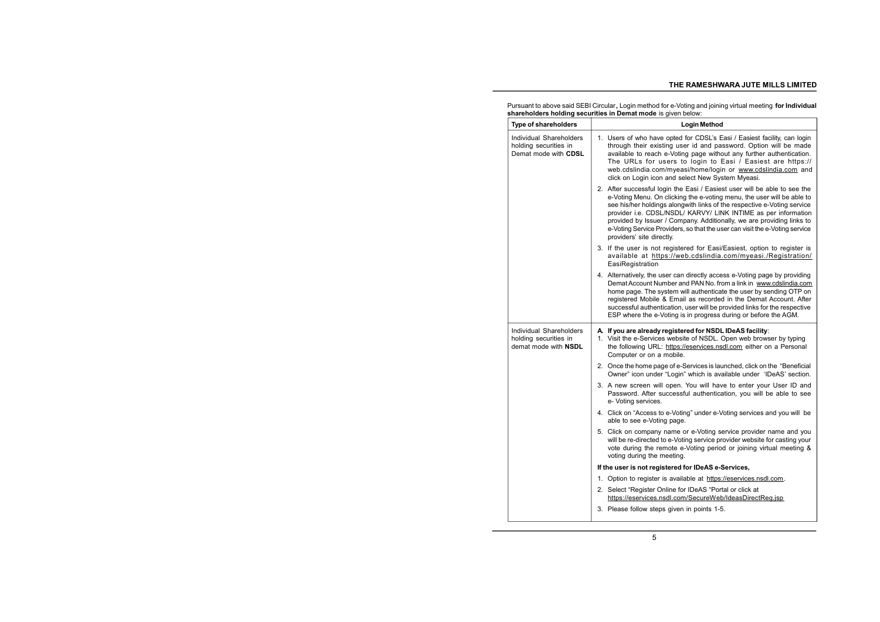|                                                               | Pursuant to above said SEBI Circular, Login method for e-Voting and joining virtual meeting for Individual |  |
|---------------------------------------------------------------|------------------------------------------------------------------------------------------------------------|--|
| shareholders holding securities in Demat mode is given below: |                                                                                                            |  |

| <b>Type of shareholders</b>                                              | <b>Login Method</b>                                                                                                                                                                                                                                                                                                                                                                                                                                                                   |
|--------------------------------------------------------------------------|---------------------------------------------------------------------------------------------------------------------------------------------------------------------------------------------------------------------------------------------------------------------------------------------------------------------------------------------------------------------------------------------------------------------------------------------------------------------------------------|
| Individual Shareholders<br>holding securities in<br>Demat mode with CDSL | 1. Users of who have opted for CDSL's Easi / Easiest facility, can login<br>through their existing user id and password. Option will be made<br>available to reach e-Voting page without any further authentication.<br>The URLs for users to login to Easi / Easiest are https://<br>web.cdslindia.com/myeasi/home/login or www.cdslindia.com and<br>click on Login icon and select New System Myeasi.                                                                               |
|                                                                          | 2. After successful login the Easi / Easiest user will be able to see the<br>e-Voting Menu. On clicking the e-voting menu, the user will be able to<br>see his/her holdings alongwith links of the respective e-Voting service<br>provider i.e. CDSL/NSDL/ KARVY/ LINK INTIME as per information<br>provided by Issuer / Company. Additionally, we are providing links to<br>e-Voting Service Providers, so that the user can visit the e-Voting service<br>providers' site directly. |
|                                                                          | 3. If the user is not registered for Easi/Easiest, option to register is<br>available at https://web.cdslindia.com/myeasi./Registration/<br>EasiRegistration                                                                                                                                                                                                                                                                                                                          |
|                                                                          | 4. Alternatively, the user can directly access e-Voting page by providing<br>Demat Account Number and PAN No. from a link in www.cdslindia.com<br>home page. The system will authenticate the user by sending OTP on<br>registered Mobile & Email as recorded in the Demat Account. After<br>successful authentication, user will be provided links for the respective<br>ESP where the e-Voting is in progress during or before the AGM.                                             |
| Individual Shareholders<br>holding securities in<br>demat mode with NSDL | A. If you are already registered for NSDL IDeAS facility:<br>1. Visit the e-Services website of NSDL. Open web browser by typing<br>the following URL: https://eservices.nsdl.com either on a Personal<br>Computer or on a mobile.                                                                                                                                                                                                                                                    |
|                                                                          | 2. Once the home page of e-Services is launched, click on the "Beneficial"<br>Owner" icon under "Login" which is available under 'IDeAS' section.                                                                                                                                                                                                                                                                                                                                     |
|                                                                          | 3. A new screen will open. You will have to enter your User ID and<br>Password. After successful authentication, you will be able to see<br>e- Voting services.                                                                                                                                                                                                                                                                                                                       |
|                                                                          | 4. Click on "Access to e-Voting" under e-Voting services and you will be<br>able to see e-Voting page.                                                                                                                                                                                                                                                                                                                                                                                |
|                                                                          | 5. Click on company name or e-Voting service provider name and you<br>will be re-directed to e-Voting service provider website for casting your<br>vote during the remote e-Voting period or joining virtual meeting &<br>voting during the meeting.                                                                                                                                                                                                                                  |
|                                                                          | If the user is not registered for IDeAS e-Services,                                                                                                                                                                                                                                                                                                                                                                                                                                   |
|                                                                          | Option to register is available at https://eservices.nsdl.com.<br>1.                                                                                                                                                                                                                                                                                                                                                                                                                  |
|                                                                          | 2. Select "Register Online for IDeAS "Portal or click at<br>https://eservices.nsdl.com/SecureWeb/IdeasDirectReg.jsp                                                                                                                                                                                                                                                                                                                                                                   |
|                                                                          | 3. Please follow steps given in points 1-5.                                                                                                                                                                                                                                                                                                                                                                                                                                           |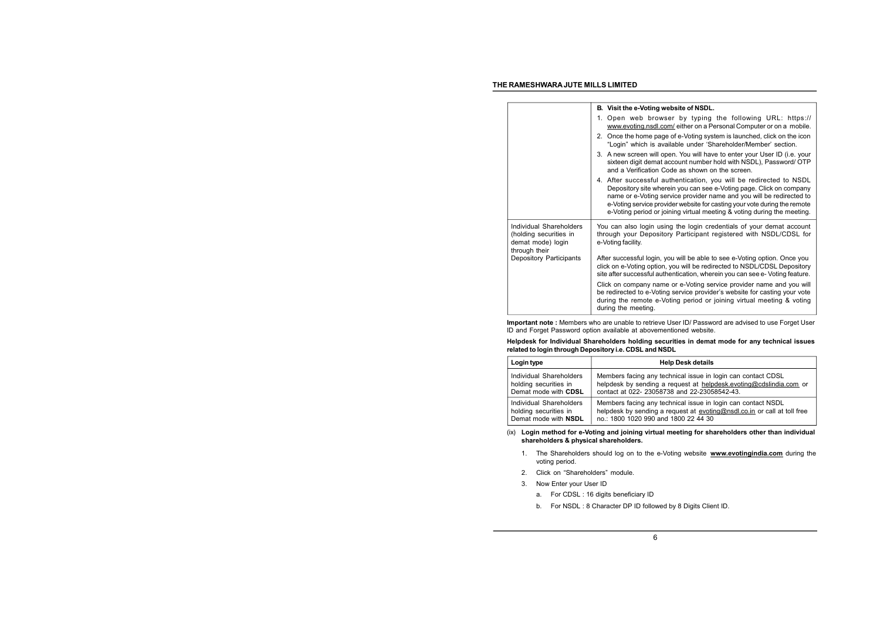|                                                                                         | B. Visit the e-Voting website of NSDL.                                                                                                                                                                                                                                                                                                                                    |
|-----------------------------------------------------------------------------------------|---------------------------------------------------------------------------------------------------------------------------------------------------------------------------------------------------------------------------------------------------------------------------------------------------------------------------------------------------------------------------|
|                                                                                         | 1. Open web browser by typing the following URL: https://<br>www.evoting.nsdl.com/either on a Personal Computer or on a mobile.                                                                                                                                                                                                                                           |
|                                                                                         | 2. Once the home page of e-Voting system is launched, click on the icon<br>"Login" which is available under 'Shareholder/Member' section.                                                                                                                                                                                                                                 |
|                                                                                         | 3. A new screen will open. You will have to enter your User ID (i.e. your<br>sixteen digit demat account number hold with NSDL), Password/ OTP<br>and a Verification Code as shown on the screen.                                                                                                                                                                         |
|                                                                                         | 4. After successful authentication, you will be redirected to NSDL<br>Depository site wherein you can see e-Voting page. Click on company<br>name or e-Voting service provider name and you will be redirected to<br>e-Voting service provider website for casting your vote during the remote<br>e-Voting period or joining virtual meeting & voting during the meeting. |
| Individual Shareholders<br>(holding securities in<br>demat mode) login<br>through their | You can also login using the login credentials of your demat account<br>through your Depository Participant registered with NSDL/CDSL for<br>e-Voting facility.                                                                                                                                                                                                           |
| Depository Participants                                                                 | After successful login, you will be able to see e-Voting option. Once you<br>click on e-Voting option, you will be redirected to NSDL/CDSL Depository<br>site after successful authentication, wherein you can see e-Voting feature.                                                                                                                                      |
|                                                                                         | Click on company name or e-Voting service provider name and you will<br>be redirected to e-Voting service provider's website for casting your vote<br>during the remote e-Voting period or joining virtual meeting & voting<br>during the meeting.                                                                                                                        |

**Important note :** Members who are unable to retrieve User ID/ Password are advised to use Forget User ID and Forget Password option available at abovementioned website.

**Helpdesk for Individual Shareholders holding securities in demat mode for any technical issues related to login through Depository i.e. CDSL and NSDL**

| Login type              | <b>Help Desk details</b>                                                 |
|-------------------------|--------------------------------------------------------------------------|
| Individual Shareholders | Members facing any technical issue in login can contact CDSL             |
| holding securities in   | helpdesk by sending a request at helpdesk.evoting@cdslindia.com or       |
| Demat mode with CDSL    | contact at 022- 23058738 and 22-23058542-43.                             |
| Individual Shareholders | Members facing any technical issue in login can contact NSDL             |
| holding securities in   | helpdesk by sending a request at evoting@nsdl.co.in or call at toll free |
| Demat mode with NSDL    | no.: 1800 1020 990 and 1800 22 44 30                                     |

(ix) **Login method for e-Voting and joining virtual meeting for shareholders other than individual shareholders & physical shareholders.**

- 1. The Shareholders should log on to the e-Voting website **[www.evotingindia.com](http://www.evotingindia.com)** during the voting period.
- 2. Click on "Shareholders" module.
- 3. Now Enter your User ID
	- a. For CDSL : 16 digits beneficiary ID
	- b. For NSDL : 8 Character DP ID followed by 8 Digits Client ID.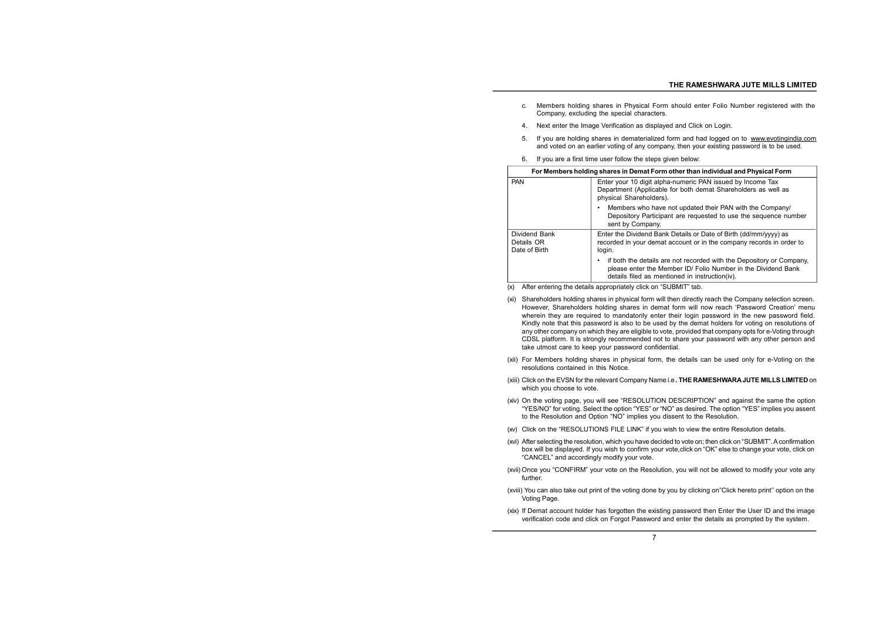- c. Members holding shares in Physical Form should enter Folio Number registered with the Company, excluding the special characters.
- 4. Next enter the Image Verification as displayed and Click on Login.
- 5. If you are holding shares in dematerialized form and had logged on to [www.evotingindia.com](http://www.evotingindia.com) and voted on an earlier voting of any company, then your existing password is to be used.
- 6. If you are a first time user follow the steps given below:

| For Members holding shares in Demat Form other than individual and Physical Form |                                                                                                                                                                                         |
|----------------------------------------------------------------------------------|-----------------------------------------------------------------------------------------------------------------------------------------------------------------------------------------|
| <b>PAN</b>                                                                       | Enter your 10 digit alpha-numeric PAN issued by Income Tax<br>Department (Applicable for both demat Shareholders as well as<br>physical Shareholders).                                  |
|                                                                                  | Members who have not updated their PAN with the Company/<br>Depository Participant are requested to use the sequence number<br>sent by Company.                                         |
| Dividend Bank<br>Details OR<br>Date of Birth                                     | Enter the Dividend Bank Details or Date of Birth (dd/mm/yyyy) as<br>recorded in your demat account or in the company records in order to<br>login.                                      |
|                                                                                  | if both the details are not recorded with the Depository or Company.<br>please enter the Member ID/ Folio Number in the Dividend Bank<br>details filed as mentioned in instruction(iv). |

- (x) After entering the details appropriately click on "SUBMIT" tab.
- (xi) Shareholders holding shares in physical form will then directly reach the Company selection screen. However, Shareholders holding shares in demat form will now reach 'Password Creation' menu wherein they are required to mandatorily enter their login password in the new password field. Kindly note that this password is also to be used by the demat holders for voting on resolutions of any other company on which they are eligible to vote, provided that company opts for e-Voting through CDSL platform. It is strongly recommended not to share your password with any other person and take utmost care to keep your password confidential.
- (xii) For Members holding shares in physical form, the details can be used only for e-Voting on the resolutions contained in this Notice.
- (xiii) Click on the EVSN for the relevant Company Name i.e**. THE RAMESHWARA JUTE MILLS LIMITED** on which you choose to vote.
- (xiv) On the voting page, you will see "RESOLUTION DESCRIPTION" and against the same the option "YES/NO" for voting. Select the option "YES" or "NO" as desired. The option "YES" implies you assent to the Resolution and Option "NO" implies you dissent to the Resolution.
- (xv) Click on the "RESOLUTIONS FILE LINK" if you wish to view the entire Resolution details.
- (xvi) After selecting the resolution, which you have decided to vote on; then click on "SUBMIT".Aconfirmation box will be displayed. If you wish to confirm your vote,click on "OK" else to change your vote, click on "CANCEL" and accordingly modify your vote.
- (xvii) Once you "CONFIRM" your vote on the Resolution, you will not be allowed to modify your vote any further.
- (xviii) You can also take out print of the voting done by you by clicking on"Click hereto print'' option on the Voting Page.
- (xix) If Demat account holder has forgotten the existing password then Enter the User ID and the image verification code and click on Forgot Password and enter the details as prompted by the system.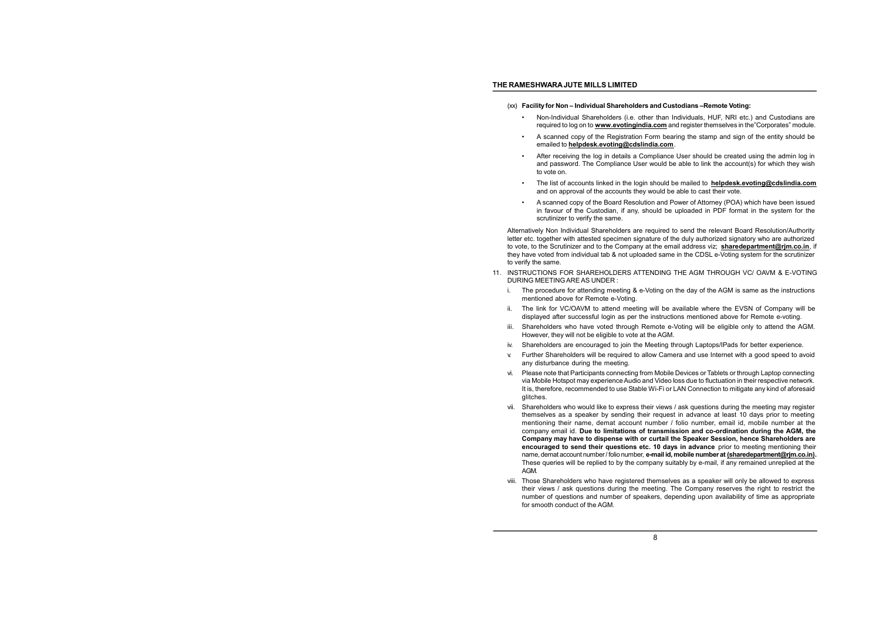- (xx) **Facility for Non – Individual Shareholders and Custodians –Remote Voting:**
	- Non-Individual Shareholders (i.e. other than Individuals, HUF, NRI etc.) and Custodians are required to log on to **[www.evotingindia.com](http://www.evotingindia.com)** and register themselves in the"Corporates" module.
	- A scanned copy of the Registration Form bearing the stamp and sign of the entity should be emailed to **[helpdesk.evoting@cdslindia.com](mailto:helpdesk.evoting@cdslindia.com)**.
	- After receiving the log in details a Compliance User should be created using the admin log in and password. The Compliance User would be able to link the account(s) for which they wish to vote on.
	- The list of accounts linked in the login should be mailed to **[helpdesk.evoting@cdslindia.com](mailto:helpdesk.evoting@cdslindia.com)** and on approval of the accounts they would be able to cast their vote.
	- A scanned copy of the Board Resolution and Power of Attorney (POA) which have been issued in favour of the Custodian, if any, should be uploaded in PDF format in the system for the scrutinizer to verify the same.

Alternatively Non Individual Shareholders are required to send the relevant Board Resolution/Authority letter etc. together with attested specimen signature of the duly authorized signatory who are authorized to vote, to the Scrutinizer and to the Company at the email address viz; **[sharedepartment@rjm.co.in](mailto:sharedepartment@rjm.co.in)**, if they have voted from individual tab & not uploaded same in the CDSL e-Voting system for the scrutinizer to verify the same.

- 11. INSTRUCTIONS FOR SHAREHOLDERS ATTENDING THE AGM THROUGH VC/ OAVM & E-VOTING DURING MEETING ARE AS UNDER :
	- i. The procedure for attending meeting & e-Voting on the day of the AGM is same as the instructions mentioned above for Remote e-Voting.
	- ii. The link for VC/OAVM to attend meeting will be available where the EVSN of Company will be displayed after successful login as per the instructions mentioned above for Remote e-voting.
	- iii. Shareholders who have voted through Remote e-Voting will be eligible only to attend the AGM. However, they will not be eligible to vote at the AGM.
	- iv. Shareholders are encouraged to join the Meeting through Laptops/IPads for better experience.
	- v. Further Shareholders will be required to allow Camera and use Internet with a good speed to avoid any disturbance during the meeting.
	- vi. Please note that Participants connecting from Mobile Devices or Tablets or through Laptop connecting via Mobile Hotspot may experience Audio and Video loss due to fluctuation in their respective network. It is, therefore, recommended to use Stable Wi-Fi or LAN Connection to mitigate any kind of aforesaid glitches.
	- vii. Shareholders who would like to express their views / ask questions during the meeting may register themselves as a speaker by sending their request in advance at least 10 days prior to meeting mentioning their name, demat account number / folio number, email id, mobile number at the company email id. **Due to limitations of transmission and co-ordination during the AGM, the Company may have to dispense with or curtail the Speaker Session, hence Shareholders are encouraged to send their questions etc. 10 days in advance** prior to meeting mentioning their name, demat account number/ folio number, **e-mail id, mobile number at [\(sharedepartment@rjm.co.in\).](mailto:(sharedepartment@rjm.co.in))** These queries will be replied to by the company suitably by e-mail, if any remained unreplied at the AGM.
	- viii. Those Shareholders who have registered themselves as a speaker will only be allowed to express their views / ask questions during the meeting. The Company reserves the right to restrict the number of questions and number of speakers, depending upon availability of time as appropriate for smooth conduct of the AGM.